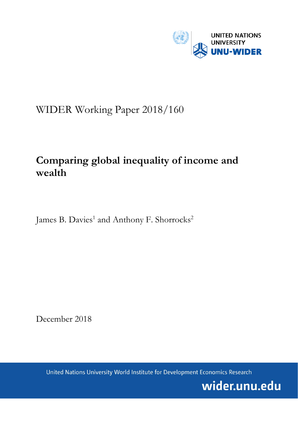

# WIDER Working Paper 2018/160

# **Comparing global inequality of income and wealth**

James B. Davies<sup>1</sup> and Anthony F. Shorrocks<sup>2</sup>

December 2018

United Nations University World Institute for Development Economics Research

wider.unu.edu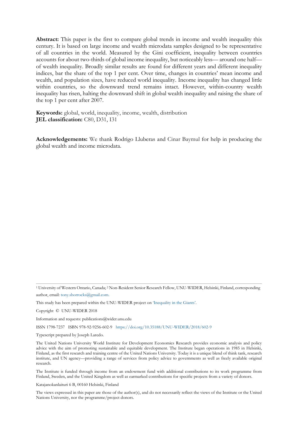**Abstract:** This paper is the first to compare global trends in income and wealth inequality this century. It is based on large income and wealth microdata samples designed to be representative of all countries in the world. Measured by the Gini coefficient, inequality between countries accounts for about two-thirds of global income inequality, but noticeably less— around one half of wealth inequality. Broadly similar results are found for different years and different inequality indices, bar the share of the top 1 per cent. Over time, changes in countries' mean income and wealth, and population sizes, have reduced world inequality. Income inequality has changed little within countries, so the downward trend remains intact. However, within-country wealth inequality has risen, halting the downward shift in global wealth inequality and raising the share of the top 1 per cent after 2007.

**Keywords:** global, world, inequality, income, wealth, distribution **JEL classification:** C80, D31, I31

**Acknowledgements:** We thank Rodrigo Lluberas and Cinar Baymul for help in producing the global wealth and income microdata.

Copyright © UNU-WIDER 2018

Information and requests: publications@wider.unu.edu

ISSN 1798-7237 ISBN 978-92-9256-602-9 <https://doi.org/10.35188/UNU-WIDER/2018/602-9>

Typescript prepared by Joseph Laredo.

Katajanokanlaituri 6 B, 00160 Helsinki, Finland

The views expressed in this paper are those of the author(s), and do not necessarily reflect the views of the Institute or the United Nations University, nor the programme/project donors.

<sup>1</sup> University of Western Ontario, Canada; <sup>2</sup> Non-Resident Senior Research Fellow, UNU-WIDER, Helsinki, Finland, corresponding author, email: [tony.shorrocks@gmail.com.](mailto:tony.shorrocks@gmail.com) 

This study has been prepared within the UNU-WIDER project on ['Inequality](https://www.wider.unu.edu/node/28447) in the Giants'.

The United Nations University World Institute for Development Economics Research provides economic analysis and policy advice with the aim of promoting sustainable and equitable development. The Institute began operations in 1985 in Helsinki, Finland, as the first research and training centre of the United Nations University. Today it is a unique blend of think tank, research institute, and UN agency—providing a range of services from policy advice to governments as well as freely available original research.

The Institute is funded through income from an endowment fund with additional contributions to its work programme from Finland, Sweden, and the United Kingdom as well as earmarked contributions for specific projects from a variety of donors.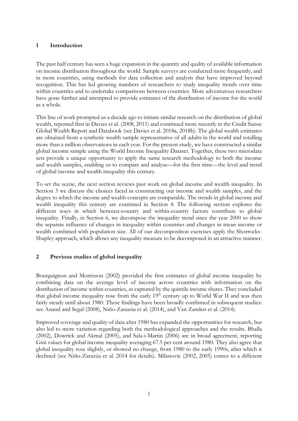#### **1 Introduction**

The past half century has seen a huge expansion in the quantity and quality of available information on income distribution throughout the world. Sample surveys are conducted more frequently, and in more countries, using methods for data collection and analysis that have improved beyond recognition. This has led growing numbers of researchers to study inequality trends over time within countries and to undertake comparisons between countries. More adventurous researchers have gone further and attempted to provide estimates of the distribution of income for the world as a whole.

This line of work prompted us a decade ago to initiate similar research on the distribution of global wealth, reported first in Davies et al. (2008, 2011) and continued more recently in the Credit Suisse Global Wealth Report and Databook (see Davies et al. 2018a, 2018b). The global wealth estimates are obtained from a synthetic wealth sample representative of all adults in the world and totalling more than a million observations in each year. For the present study, we have constructed a similar global income sample using the World Income Inequality Dataset. Together, these two microdata sets provide a unique opportunity to apply the same research methodology to both the income and wealth samples, enabling us to compare and analyse—for the first time—the level and trend of global income and wealth inequality this century.

To set the scene, the next section reviews past work on global income and wealth inequality. In Section 3 we discuss the choices faced in constructing our income and wealth samples, and the degree to which the income and wealth concepts are comparable. The trends in global income and wealth inequality this century are examined in Section 4. The following section explores the different ways in which between-country and within-country factors contribute to global inequality. Finally, in Section 6, we decompose the inequality trend since the year 2000 to show the separate influence of changes in inequality within countries and changes in mean income or wealth combined with population size. All of our decomposition exercises apply the Shorrocks-Shapley approach, which allows any inequality measure to be decomposed in an attractive manner.

#### **2 Previous studies of global inequality**

Bourguignon and Morrisson (2002) provided the first estimates of global income inequality by combining data on the average level of income across countries with information on the distribution of income within countries, as captured by the quintile income shares. They concluded that global income inequality rose from the early  $19<sup>th</sup>$  century up to World War II and was then fairly steady until about 1980. These findings have been broadly confirmed in subsequent studies: see Anand and Segal (2008), Niño-Zarazúa et al. (2014), and Van Zanden et al. (2014).

Improved coverage and quality of data after 1980 has expanded the opportunities for research, but also led to more variation regarding both the methodological approaches and the results. Bhalla (2002), Dowrick and Akmal (2005), and Sala-i-Martin (2006) are in broad agreement, reporting Gini values for global income inequality averaging 67.5 per cent around 1980. They also agree that global inequality rose slightly, or showed no change, from 1980 to the early 1990s, after which it declined (see Niño-Zarazúa et al. 2014 for details). Milanovic (2002, 2005) comes to a different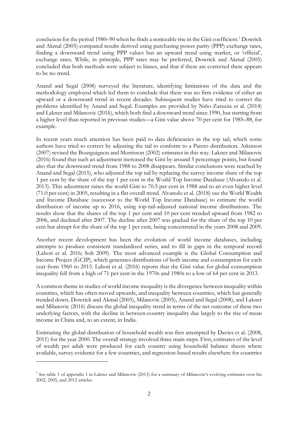conclusion for the period [1](#page-3-0)980–90 when he finds a noticeable rise in the Gini coefficient.<sup>1</sup> Dowrick and Akmal (2005) compared results derived using purchasing power parity (PPP) exchange rates, finding a downward trend using PPP values but an upward trend using market, or 'official', exchange rates. While, in principle, PPP rates may be preferred, Dowrick and Akmal (2005) concluded that both methods were subject to biases, and that if these are corrected there appears to be no trend.

Anand and Segal (2008) surveyed the literature, identifying limitations of the data and the methodology employed which led them to conclude that there was no firm evidence of either an upward or a downward trend in recent decades. Subsequent studies have tried to correct the problems identified by Anand and Segal. Examples are provided by Niño-Zarazúa et al. (2014) and Lakner and Milanovic (2016), which both find a downward trend since 1990, but starting from a higher level than reported in previous studies—a Gini value above 70 per cent for 1985–88, for example.

In recent years much attention has been paid to data deficiencies in the top tail, which some authors have tried to correct by adjusting the tail to conform to a Pareto distribution. Atkinson (2007) revised the Bourguignon and Morrisson (2002) estimates in this way. Lakner and Milanovic (2016) found that such an adjustment increased the Gini by around 5 percentage points, but found also that the downward trend from 1988 to 2008 disappears. Similar conclusions were reached by Anand and Segal (2015), who adjusted the top tail by replacing the survey income share of the top 1 per cent by the share of the top 1 per cent in the World Top Income Database (Alvaredo et al. 2013). This adjustment raises the world Gini to 70.5 per cent in 1988 and to an even higher level (71.0 per cent) in 2005, resulting in a flat overall trend. Alvaredo et al. (2018) use the World Wealth and Income Database (successor to the World Top Income Database) to estimate the world distribution of income up to 2016, using top-tail-adjusted national income distributions. The results show that the shares of the top 1 per cent and 10 per cent trended upward from 1982 to 2006, and declined after 2007. The decline after 2007 was gradual for the share of the top 10 per cent but abrupt for the share of the top 1 per cent, being concentrated in the years 2008 and 2009.

Another recent development has been the evolution of world income databases, including attempts to produce consistent standardized series, and to fill in gaps in the temporal record (Lahoti et al. 2016; Solt 2009). The most advanced example is the Global Consumption and Income Project (GCIP), which generates distributions of both income and consumption for each year from 1960 to 2015. Lahoti et al. (2016) reports that the Gini value for global consumption inequality fell from a high of 71 per cent in the 1970s and 1980s to a low of 64 per cent in 2013.

A common theme in studies of world income inequality is the divergence between inequality within countries, which has often moved upwards, and inequality between countries, which has generally trended down. Dowrick and Akmal (2005), Milanovic (2005), Anand and Segal (2008), and Lakner and Milanovic (2016) discuss the global inequality trend in terms of the net outcome of these two underlying factors, with the decline in between-country inequality due largely to the rise of mean income in China and, to an extent, in India.

Estimating the global distribution of household wealth was first attempted by Davies et al. (2008, 2011) for the year 2000. The overall strategy involved three main steps. First, estimates of the level of wealth per adult were produced for each country using household balance sheets where available, survey evidence for a few countries, and regression-based results elsewhere for countries

<u>.</u>

<span id="page-3-0"></span> $1$  See table 1 of appendix 1 in Lakner and Milanovic (2013) for a summary of Milanovic's evolving estimates over his 2002, 2005, and 2012 articles.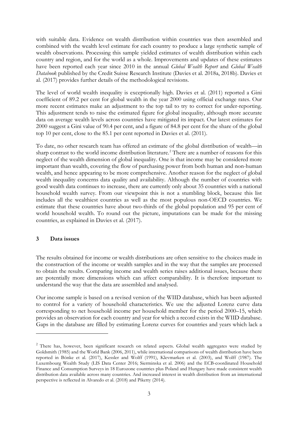with suitable data. Evidence on wealth distribution within countries was then assembled and combined with the wealth level estimate for each country to produce a large synthetic sample of wealth observations. Processing this sample yielded estimates of wealth distribution within each country and region, and for the world as a whole. Improvements and updates of these estimates have been reported each year since 2010 in the annual *Global Wealth Report* and *Global Wealth Databook* published by the Credit Suisse Research Institute (Davies et al. 2018a, 2018b). Davies et al. (2017) provides further details of the methodological revisions.

The level of world wealth inequality is exceptionally high. Davies et al. (2011) reported a Gini coefficient of 89.2 per cent for global wealth in the year 2000 using official exchange rates. Our more recent estimates make an adjustment to the top tail to try to correct for under-reporting. This adjustment tends to raise the estimated figure for global inequality, although more accurate data on average wealth levels across countries have mitigated its impact. Our latest estimates for 2000 suggest a Gini value of 90.4 per cent, and a figure of 84.8 per cent for the share of the global top 10 per cent, close to the 85.1 per cent reported in Davies et al. (2011).

To date, no other research team has offered an estimate of the global distribution of wealth—in sharp contrast to the world income distribution literature.<sup>[2](#page-4-0)</sup> There are a number of reasons for this neglect of the wealth dimension of global inequality. One is that income may be considered more important than wealth, covering the flow of purchasing power from both human and non-human wealth, and hence appearing to be more comprehensive. Another reason for the neglect of global wealth inequality concerns data quality and availability. Although the number of countries with good wealth data continues to increase, there are currently only about 35 countries with a national household wealth survey. From our viewpoint this is not a stumbling block, because this list includes all the wealthiest countries as well as the most populous non-OECD countries. We estimate that these countries have about two-thirds of the global population and 95 per cent of world household wealth. To round out the picture, imputations can be made for the missing countries, as explained in Davies et al. (2017).

#### **3 Data issues**

-

The results obtained for income or wealth distributions are often sensitive to the choices made in the construction of the income or wealth samples and in the way that the samples are processed to obtain the results. Comparing income and wealth series raises additional issues, because there are potentially more dimensions which can affect comparability. It is therefore important to understand the way that the data are assembled and analysed.

Our income sample is based on a revised version of the WIID database, which has been adjusted to control for a variety of household characteristics. We use the adjusted Lorenz curve data corresponding to net household income per household member for the period 2000–15, which provides an observation for each country and year for which a record exists in the WIID database. Gaps in the database are filled by estimating Lorenz curves for countries and years which lack a

<span id="page-4-0"></span><sup>&</sup>lt;sup>2</sup> There has, however, been significant research on related aspects. Global wealth aggregates were studied by Goldsmith (1985) and the World Bank (2006, 2011), while international comparisons of wealth distribution have been reported in Bönke et al. (2017), Kessler and Wolff (1991), Klevmarken et al. (2003), and Wolff (1987). The Luxembourg Wealth Study (LIS Data Center 2016; Sierminska et al. 2006) and the ECB-coordinated Household Finance and Consumption Surveys in 18 Eurozone countries plus Poland and Hungary have made consistent wealth distribution data available across many countries. And increased interest in wealth distribution from an international perspective is reflected in Alvaredo et al. (2018) and Piketty (2014).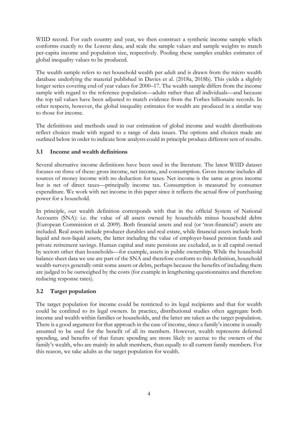WIID record. For each country and year, we then construct a synthetic income sample which conforms exactly to the Lorenz data, and scale the sample values and sample weights to match per-capita income and population size, respectively. Pooling these samples enables estimates of global inequality values to be produced.

The wealth sample refers to net household wealth per adult and is drawn from the micro wealth database underlying the material published in Davies et al. (2018a, 2018b). This yields a slightly longer series covering end-of year values for 2000–17. The wealth sample differs from the income sample with regard to the reference population—adults rather than all individuals—and because the top tail values have been adjusted to match evidence from the Forbes billionaire records. In other respects, however, the global inequality estimates for wealth are produced in a similar way to those for income.

The definitions and methods used in our estimation of global income and wealth distributions reflect choices made with regard to a range of data issues. The options and choices made are outlined below in order to indicate how analysts could in principle produce different sets of results.

## **3.1 Income and wealth definitions**

Several alternative income definitions have been used in the literature. The latest WIID dataset focuses on three of these: gross income, net income, and consumption. Gross income includes all sources of money income with no deduction for taxes. Net income is the same as gross income but is net of direct taxes—principally income tax. Consumption is measured by consumer expenditure. We work with net income in this paper since it reflects the actual flow of purchasing power for a household.

In principle, our wealth definition corresponds with that in the official System of National Accounts (SNA): i.e. the value of all assets owned by households minus household debts (European Commission et al. 2009). Both financial assets and real (or 'non-financial') assets are included. Real assets include producer durables and real estate, while financial assets include both liquid and non-liquid assets, the latter including the value of employer-based pension funds and private retirement savings. Human capital and state pensions are excluded, as is all capital owned by sectors other than households—for example, assets in public ownership. While the household balance sheet data we use are part of the SNA and therefore conform to this definition, household wealth surveys generally omit some assets or debts, perhaps because the benefits of including them are judged to be outweighed by the costs (for example in lengthening questionnaires and therefore reducing response rates).

## **3.2 Target population**

The target population for income could be restricted to its legal recipients and that for wealth could be confined to its legal owners. In practice, distributional studies often aggregate both income and wealth within families or households, and the latter are taken as the target population. There is a good argument for that approach in the case of income, since a family's income is usually assumed to be used for the benefit of all its members. However, wealth represents deferred spending, and benefits of that future spending are more likely to accrue to the owners of the family's wealth, who are mainly its adult members, than equally to all current family members. For this reason, we take adults as the target population for wealth.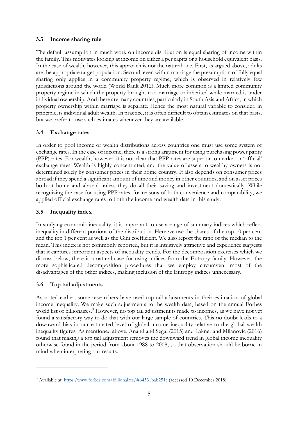#### **3.3 Income sharing rule**

The default assumption in much work on income distribution is equal sharing of income within the family. This motivates looking at income on either a per capita or a household equivalent basis. In the case of wealth, however, this approach is not the natural one. First, as argued above, adults are the appropriate target population. Second, even within marriage the presumption of fully equal sharing only applies in a community property regime, which is observed in relatively few jurisdictions around the world (World Bank 2012). Much more common is a limited community property regime in which the property brought to a marriage or inherited while married is under individual ownership. And there are many countries, particularly in South Asia and Africa, in which property ownership within marriage is separate. Hence the most natural variable to consider, in principle, is individual adult wealth. In practice, it is often difficult to obtain estimates on that basis, but we prefer to use such estimates whenever they are available.

## **3.4 Exchange rates**

In order to pool income or wealth distributions across countries one must use some system of exchange rates. In the case of income, there is a strong argument for using purchasing power parity (PPP) rates. For wealth, however, it is not clear that PPP rates are superior to market or 'official' exchange rates. Wealth is highly concentrated, and the value of assets to wealthy owners is not determined solely by consumer prices in their home country. It also depends on consumer prices abroad if they spend a significant amount of time and money in other countries, and on asset prices both at home and abroad unless they do all their saving and investment domestically. While recognizing the case for using PPP rates, for reasons of both convenience and comparability, we applied official exchange rates to both the income and wealth data in this study.

#### **3.5 Inequality index**

In studying economic inequality, it is important to use a range of summary indices which reflect inequality in different portions of the distribution. Here we use the shares of the top 10 per cent and the top 1 per cent as well as the Gini coefficient. We also report the ratio of the median to the mean. This index is not commonly reported, but it is intuitively attractive and experience suggests that it captures important aspects of inequality trends. For the decomposition exercises which we discuss below, there is a natural case for using indices from the Entropy family. However, the more sophisticated decomposition procedures that we employ circumvent most of the disadvantages of the other indices, making inclusion of the Entropy indices unnecessary.

## **3.6 Top tail adjustments**

-

As noted earlier, some researchers have used top tail adjustments in their estimation of global income inequality. We make such adjustments to the wealth data, based on the annual Forbes world list of billionaires.<sup>[3](#page-6-0)</sup> However, no top tail adjustment is made to incomes, as we have not yet found a satisfactory way to do that with our large sample of countries. This no doubt leads to a downward bias in our estimated level of global income inequality relative to the global wealth inequality figures. As mentioned above, Anand and Segal (2015) and Lakner and Milanovic (2016) found that making a top tail adjustment removes the downward trend in global income inequality otherwise found in the period from about 1988 to 2008, so that observation should be borne in mind when interpreting our results.

<span id="page-6-0"></span><sup>3</sup> Available at[: https:/www.forbes.com/billionaires/#64531bab251c](https://www.forbes.com/billionaires/%2364531bab251c) (accessed 10 December 2018).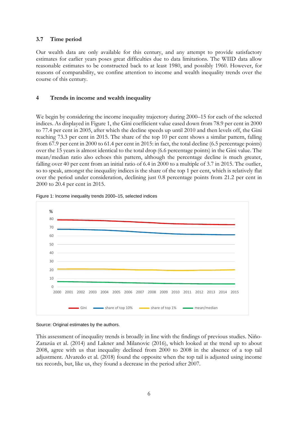#### **3.7 Time period**

Our wealth data are only available for this century, and any attempt to provide satisfactory estimates for earlier years poses great difficulties due to data limitations. The WIID data allow reasonable estimates to be constructed back to at least 1980, and possibly 1960. However, for reasons of comparability, we confine attention to income and wealth inequality trends over the course of this century.

#### **4 Trends in income and wealth inequality**

We begin by considering the income inequality trajectory during 2000–15 for each of the selected indices. As displayed in Figure 1, the Gini coefficient value eased down from 78.9 per cent in 2000 to 77.4 per cent in 2005, after which the decline speeds up until 2010 and then levels off, the Gini reaching 73.3 per cent in 2015. The share of the top 10 per cent shows a similar pattern, falling from 67.9 per cent in 2000 to 61.4 per cent in 2015: in fact, the total decline (6.5 percentage points) over the 15 years is almost identical to the total drop (6.6 percentage points) in the Gini value. The mean/median ratio also echoes this pattern, although the percentage decline is much greater, falling over 40 per cent from an initial ratio of 6.4 in 2000 to a multiple of 3.7 in 2015. The outlier, so to speak, amongst the inequality indices is the share of the top 1 per cent, which is relatively flat over the period under consideration, declining just 0.8 percentage points from 21.2 per cent in 2000 to 20.4 per cent in 2015.



Figure 1: Income inequality trends 2000–15, selected indices

Source: Original estimates by the authors.

This assessment of inequality trends is broadly in line with the findings of previous studies. Niño-Zarazúa et al. (2014) and Lakner and Milanovic (2016), which looked at the trend up to about 2008, agree with us that inequality declined from 2000 to 2008 in the absence of a top tail adjustment. Alvaredo et al. (2018) found the opposite when the top tail is adjusted using income tax records, but, like us, they found a decrease in the period after 2007.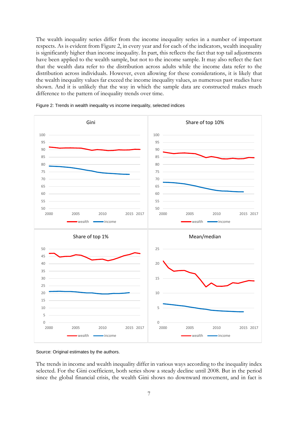The wealth inequality series differ from the income inequality series in a number of important respects. As is evident from Figure 2, in every year and for each of the indicators, wealth inequality is significantly higher than income inequality. In part, this reflects the fact that top tail adjustments have been applied to the wealth sample, but not to the income sample. It may also reflect the fact that the wealth data refer to the distribution across adults while the income data refer to the distribution across individuals. However, even allowing for these considerations, it is likely that the wealth inequality values far exceed the income inequality values, as numerous past studies have shown. And it is unlikely that the way in which the sample data are constructed makes much difference to the pattern of inequality trends over time.





#### Source: Original estimates by the authors.

The trends in income and wealth inequality differ in various ways according to the inequality index selected. For the Gini coefficient, both series show a steady decline until 2008. But in the period since the global financial crisis, the wealth Gini shows no downward movement, and in fact is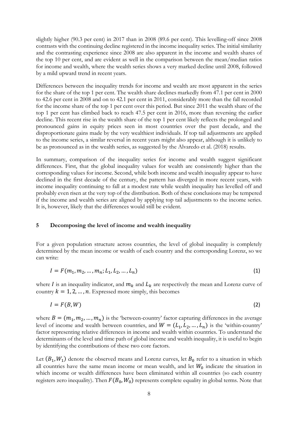slightly higher (90.3 per cent) in 2017 than in 2008 (89.6 per cent). This levelling-off since 2008 contrasts with the continuing decline registered in the income inequality series. The initial similarity and the contrasting experience since 2008 are also apparent in the income and wealth shares of the top 10 per cent, and are evident as well in the comparison between the mean/median ratios for income and wealth, where the wealth series shows a very marked decline until 2008, followed by a mild upward trend in recent years.

Differences between the inequality trends for income and wealth are most apparent in the series for the share of the top 1 per cent. The wealth share declines markedly from 47.1 per cent in 2000 to 42.6 per cent in 2008 and on to 42.1 per cent in 2011, considerably more than the fall recorded for the income share of the top 1 per cent over this period. But since 2011 the wealth share of the top 1 per cent has climbed back to reach 47.5 per cent in 2016, more than reversing the earlier decline. This recent rise in the wealth share of the top 1 per cent likely reflects the prolonged and pronounced gains in equity prices seen in most countries over the past decade, and the disproportionate gains made by the very wealthiest individuals. If top tail adjustments are applied to the income series, a similar reversal in recent years might also appear, although it is unlikely to be as pronounced as in the wealth series, as suggested by the Alvaredo et al. (2018) results.

In summary, comparison of the inequality series for income and wealth suggest significant differences. First, that the global inequality values for wealth are consistently higher than the corresponding values for income. Second, while both income and wealth inequality appear to have declined in the first decade of the century, the pattern has diverged in more recent years, with income inequality continuing to fall at a modest rate while wealth inequality has levelled off and probably even risen at the very top of the distribution. Both of these conclusions may be tempered if the income and wealth series are aligned by applying top tail adjustments to the income series. It is, however, likely that the differences would still be evident.

#### **5 Decomposing the level of income and wealth inequality**

For a given population structure across countries, the level of global inequality is completely determined by the mean income or wealth of each country and the corresponding Lorenz, so we can write:

$$
I = F(m_1, m_2, \dots, m_n; L_1, L_2, \dots, L_n)
$$
\n(1)

where I is an inequality indicator, and  $m_k$  and  $L_k$  are respectively the mean and Lorenz curve of country  $k = 1, 2, ..., n$ . Expressed more simply, this becomes

$$
I = F(B, W) \tag{2}
$$

where  $B = (m_1, m_2, ..., m_n)$  is the 'between-country' factor capturing differences in the average level of income and wealth between countries, and  $W = (L_1, L_2, ..., L_n)$  is the 'within-country' factor representing relative differences in income and wealth within countries. To understand the determinants of the level and time path of global income and wealth inequality, it is useful to begin by identifying the contributions of these two core factors.

Let  $(B_1, W_1)$  denote the observed means and Lorenz curves, let  $B_0$  refer to a situation in which all countries have the same mean income or mean wealth, and let  $W_0$  indicate the situation in which income or wealth differences have been eliminated within all countries (so each country registers zero inequality). Then  $F(B_0, W_0)$  represents complete equality in global terms. Note that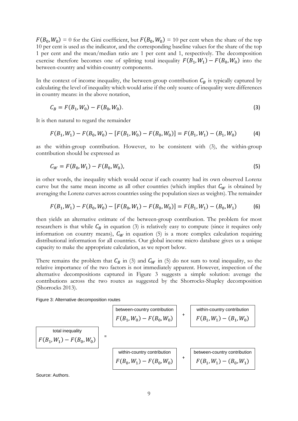$F(B_0, W_0) = 0$  for the Gini coefficient, but  $F(B_0, W_0) = 10$  per cent when the share of the top 10 per cent is used as the indicator, and the corresponding baseline values for the share of the top 1 per cent and the mean/median ratio are 1 per cent and 1, respectively. The decomposition exercise therefore becomes one of splitting total inequality  $F(B_1, W_1) - F(B_0, W_0)$  into the between-country and within-country components.

In the context of income inequality, the between-group contribution  $C_B$  is typically captured by calculating the level of inequality which would arise if the only source of inequality were differences in country means: in the above notation,

$$
C_B = F(B_1, W_0) - F(B_0, W_0). \tag{3}
$$

It is then natural to regard the remainder

$$
F(B_1, W_1) - F(B_0, W_0) - [F(B_1, W_0) - F(B_0, W_0)] = F(B_1, W_1) - (B_1, W_0)
$$
 (4)

as the within-group contribution. However, to be consistent with (3), the within-group contribution should be expressed as

$$
C_W = F(B_0, W_1) - F(B_0, W_0), \tag{5}
$$

in other words, the inequality which would occur if each country had its own observed Lorenz curve but the same mean income as all other countries (which implies that  $C_W$  is obtained by averaging the Lorenz curves across countries using the population sizes as weights). The remainder

$$
F(B_1, W_1) - F(B_0, W_0) - [F(B_0, W_1) - F(B_0, W_0)] = F(B_1, W_1) - (B_0, W_1)
$$
 (6)

then yields an alternative estimate of the between-group contribution. The problem for most researchers is that while  $C_B$  in equation (3) is relatively easy to compute (since it requires only information on country means),  $C_W$  in equation (5) is a more complex calculation requiring distributional information for all countries. Our global income micro database gives us a unique capacity to make the appropriate calculation, as we report below.

There remains the problem that  $C_B$  in (3) and  $C_W$  in (5) do not sum to total inequality, so the relative importance of the two factors is not immediately apparent. However, inspection of the alternative decompositions captured in Figure 3 suggests a simple solution: average the contributions across the two routes as suggested by the Shorrocks-Shapley decomposition (Shorrocks 2013).

Figure 3: Alternative decomposition routes

$$
F(B_1, W_1) - F(B_0, W_0)
$$
\n
$$
F(B_1, W_1) - F(B_0, W_0)
$$
\n
$$
F(B_1, W_1) - F(B_0, W_0)
$$
\n
$$
F(B_1, W_1) - F(B_0, W_0)
$$
\n
$$
F(B_0, W_1) - F(B_0, W_0)
$$
\n
$$
F(B_0, W_1) - F(B_0, W_0)
$$
\n
$$
F(B_1, W_1) - (B_0, W_1)
$$

Source: Authors.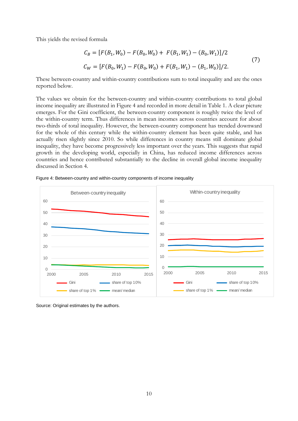This yields the revised formula

$$
C_B = [F(B_1, W_0) - F(B_0, W_0) + F(B_1, W_1) - (B_0, W_1)]/2
$$
  
\n
$$
C_W = [F(B_0, W_1) - F(B_0, W_0) + F(B_1, W_1) - (B_1, W_0)]/2.
$$
\n(7)

These between-country and within-country contributions sum to total inequality and are the ones reported below.

The values we obtain for the between-country and within-country contributions to total global income inequality are illustrated in Figure 4 and recorded in more detail in Table 1. A clear picture emerges. For the Gini coefficient, the between-country component is roughly twice the level of the within-country term. Thus differences in mean incomes across countries account for about two-thirds of total inequality. However, the between-country component has trended downward for the whole of this century while the within-country element has been quite stable, and has actually risen slightly since 2010. So while differences in country means still dominate global inequality, they have become progressively less important over the years. This suggests that rapid growth in the developing world, especially in China, has reduced income differences across countries and hence contributed substantially to the decline in overall global income inequality discussed in Section 4.



Figure 4: Between-country and within-country components of income inequality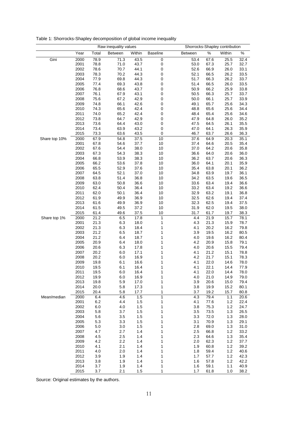|  | Table 1: Shorrocks-Shapley decomposition of global income inequality |  |  |
|--|----------------------------------------------------------------------|--|--|
|  |                                                                      |  |  |

|               | Raw inequality values |              |              | Shorrocks-Shapley contribution |                  |              |              |              |              |
|---------------|-----------------------|--------------|--------------|--------------------------------|------------------|--------------|--------------|--------------|--------------|
|               | Year                  | Total        | Between      | Within                         | <b>Baseline</b>  | Between      | $\%$         | Within       | $\%$         |
| Gini          | 2000                  | 78.9         | 71.3         | 43.5                           | $\mathbf 0$      | 53.4         | 67.6         | 25.5         | 32.4         |
|               | 2001                  | 78.8         | 71.0         | 43.7                           | $\pmb{0}$        | 53.0         | 67.3         | 25.7         | 32.7         |
|               | 2002                  | 78.6         | 70.7         | 44.1                           | $\pmb{0}$        | 52.6         | 66.9         | 26.0         | 33.1         |
|               | 2003<br>2004          | 78.3<br>77.9 | 70.2<br>69.8 | 44.3<br>44.3                   | 0<br>0           | 52.1<br>51.7 | 66.5<br>66.3 | 26.2<br>26.2 | 33.5<br>33.7 |
|               | 2005                  | 77.4         | 69.3         | 43.8                           | 0                | 51.4         | 66.5         | 26.0         | 33.5         |
|               | 2006                  | 76.8         | 68.6         | 43.7                           | 0                | 50.9         | 66.2         | 25.9         | 33.8         |
|               | 2007                  | 76.1         | 67.9         | 43.1                           | 0                | 50.5         | 66.3         | 25.7         | 33.7         |
|               | 2008                  | 75.6         | 67.2         | 42.9                           | 0                | 50.0         | 66.1         | 25.7         | 33.9         |
|               | 2009                  | 74.8         | 66.1         | 42.6                           | $\pmb{0}$        | 49.1         | 65.7         | 25.6         | 34.3         |
|               | 2010<br>2011          | 74.3<br>74.0 | 65.6<br>65.2 | 42.4<br>42.4                   | 0                | 48.8<br>48.4 | 65.6<br>65.4 | 25.6<br>25.6 | 34.4         |
|               | 2012                  | 73.8         | 64.7         | 42.9                           | 0<br>0           | 47.9         | 64.8         | 26.0         | 34.6<br>35.2 |
|               | 2013                  | 73.6         | 64.4         | 43.0                           | 0                | 47.5         | 64.5         | 26.1         | 35.5         |
|               | 2014                  | 73.4         | 63.9         | 43.2                           | 0                | 47.0         | 64.1         | 26.3         | 35.9         |
|               | 2015                  | 73.3         | 63.6         | 43.5                           | $\mathbf 0$      | 46.7         | 63.7         | 26.6         | 36.3         |
| Share top 10% | 2000                  | 67.9         | 54.8         | 37.5                           | 10               | 37.6         | 64.9         | 20.3         | 35.1         |
|               | 2001                  | 67.8         | 54.6         | 37.7                           | 10               | 37.4         | 64.6         | 20.5         | 35.4         |
|               | 2002                  | 67.6         | 54.4         | 38.0                           | $10$             | 37.0         | 64.2         | 20.6         | 35.8         |
|               | 2003<br>2004          | 67.3<br>66.8 | 54.3<br>53.9 | 38.3<br>38.3                   | 10<br>10         | 36.6<br>36.2 | 64.0<br>63.7 | 20.6<br>20.6 | 36.0<br>36.3 |
|               | 2005                  | 66.2         | 53.6         | 37.8                           | 10               | 36.0         | 64.1         | 20.1         | 35.9         |
|               | 2006                  | 65.5         | 52.9         | 37.6                           | 10               | 35.4         | 63.8         | 20.1         | 36.2         |
|               | 2007                  | 64.5         | 52.1         | 37.0                           | 10               | 34.8         | 63.9         | 19.7         | 36.1         |
|               | 2008                  | 63.8         | 51.4         | 36.8                           | 10               | 34.2         | 63.5         | 19.6         | 36.5         |
|               | 2009                  | 63.0         | 50.8         | 36.6                           | 10               | 33.6         | 63.4         | 19.4         | 36.6         |
|               | 2010                  | 62.4         | 50.4         | 36.4                           | 10               | 33.2         | 63.4         | 19.2         | 36.6         |
|               | 2011<br>2012          | 62.0<br>61.9 | 50.1<br>49.9 | 36.4<br>36.9                   | 10<br>10         | 32.9<br>32.5 | 63.2<br>62.6 | 19.1<br>19.4 | 36.8<br>37.4 |
|               | 2013                  | 61.6         | 49.9         | 36.9                           | 10               | 32.3         | 62.5         | 19.4         | 37.5         |
|               | 2014                  | 61.5         | 49.5         | 37.2                           | 10               | 31.9         | 62.0         | 19.5         | 38.0         |
|               | 2015                  | 61.4         | 49.6         | 37.5                           | 10               | 31.7         | 61.7         | 19.7         | 38.3         |
| Share top 1%  | 2000                  | 21.2         | 6.5          | 17.8                           | $\mathbf 1$      | 4.4          | 21.9         | 15.7         | 78.1         |
|               | 2001                  | 21.3         | 6.3          | 18.0                           | $\mathbf 1$      | 4.3          | 21.3         | 15.9         | 78.7         |
|               | 2002<br>2003          | 21.3<br>21.2 | 6.3<br>6.5   | 18.4<br>18.7                   | 1<br>1           | 4.1<br>3.9   | 20.2<br>19.5 | 16.2<br>16.2 | 79.8<br>80.5 |
|               | 2004                  | 21.2         | 6.4          | 18.7                           | 1                | 4.0          | 19.6         | 16.2         | 80.4         |
|               | 2005                  | 20.9         | 6.4          | 18.0                           | 1                | 4.2          | 20.9         | 15.8         | 79.1         |
|               | 2006                  | 20.6         | 6.3          | 17.8                           | 1                | 4.0          | 20.6         | 15.5         | 79.4         |
|               | 2007                  | 20.2         | 6.0          | 17.1                           | 1                | 4.1          | 21.2         | 15.1         | 78.8         |
|               | 2008                  | 20.2         | 6.0          | 16.9                           | 1                | 4.2          | 21.7         | 15.1         | 78.3         |
|               | 2009                  | 19.8         | 6.1          | 16.6                           | 1<br>1           | 4.1          | 22.0<br>22.1 | 14.6         | 78.0         |
|               | 2010<br>2011          | 19.5<br>19.5 | 6.1<br>6.0   | 16.4<br>16.4                   | 1                | 4.1<br>4.1   | 22.0         | 14.4<br>14.4 | 77.9<br>78.0 |
|               | 2012                  | 19.9         | 6.0          | 16.9                           | 1                | 4.0          | 21.0         | 14.9         | 79.0         |
|               | 2013                  | 19.8         | 5.9          | 17.0                           | 1                | 3.9          | 20.6         | 15.0         | 79.4         |
|               | 2014                  | 20.0         | 5.8          | 17.3                           | 1                | 3.8          | 19.9         | 15.2         | 80.1         |
|               | 2015                  | 20.4         | 5.8          | 17.7                           | 1                | 3.7          | 19.2         | 15.7         | 80.8         |
| Mean/median   | 2000                  | 6.4          | 4.6          | 1.5                            | 1                | 4.3          | 79.4         | 1.1          | 20.6         |
|               | 2001<br>2002          | 6.2<br>6.0   | 4.4<br>4.0   | 1.5<br>1.5                     | 1<br>$\mathbf 1$ | 4.1<br>3.8   | 77.6<br>75.3 | 1.2<br>1.2   | 22.4<br>24.7 |
|               | 2003                  | 5.8          | 3.7          | 1.5                            | 1                | 3.5          | 73.5         | 1.3          | 26.5         |
|               | 2004                  | 5.6          | 3.5          | 1.5                            | 1                | 3.3          | 72.0         | 1.3          | 28.0         |
|               | 2005                  | 5.3          | 3.3          | 1.5                            | 1                | 3.1          | 70.9         | 1.3          | 29.1         |
|               | 2006                  | 5.0          | 3.0          | 1.5                            | 1                | 2.8          | 69.0         | 1.3          | 31.0         |
|               | 2007                  | 4.7          | 2.7          | 1.4                            | 1                | 2.5          | 66.8         | 1.2          | 33.2         |
|               | 2008                  | 4.5          | 2.5          | 1.4                            | $\mathbf 1$      | 2.3          | 64.6         | 1.3          | 35.4         |
|               | 2009<br>2010          | 4.2<br>4.1   | 2.2<br>2.1   | 1.4<br>1.4                     | 1<br>1           | 2.0<br>1.9   | 62.3<br>60.8 | 1.2<br>1.2   | 37.7<br>39.2 |
|               | 2011                  | 4.0          | 2.0          | 1.4                            | 1                | 1.8          | 59.4         | 1.2          | 40.6         |
|               | 2012                  | 3.9          | 1.9          | 1.4                            | 1                | 1.7          | 57.7         | 1.2          | 42.3         |
|               | 2013                  | 3.8          | 1.9          | 1.4                            | 1                | 1.6          | 57.8         | 1.2          | 42.2         |
|               | 2014                  | 3.7          | 1.9          | 1.4                            | 1                | 1.6          | 59.1         | 1.1          | 40.9         |
|               | 2015                  | 3.7          | 2.1          | 1.5                            | 1                | 1.7          | 61.8         | 1.0          | 38.2         |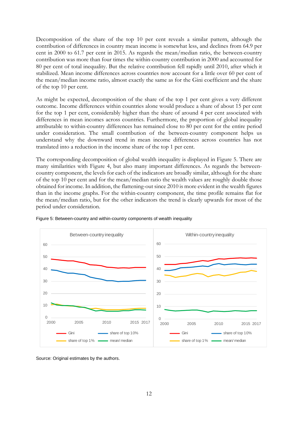Decomposition of the share of the top 10 per cent reveals a similar pattern, although the contribution of differences in country mean income is somewhat less, and declines from 64.9 per cent in 2000 to 61.7 per cent in 2015. As regards the mean/median ratio, the between-country contribution was more than four times the within-country contribution in 2000 and accounted for 80 per cent of total inequality. But the relative contribution fell rapidly until 2010, after which it stabilized. Mean income differences across countries now account for a little over 60 per cent of the mean/median income ratio, almost exactly the same as for the Gini coefficient and the share of the top 10 per cent.

As might be expected, decomposition of the share of the top 1 per cent gives a very different outcome. Income differences within countries alone would produce a share of about 15 per cent for the top 1 per cent, considerably higher than the share of around 4 per cent associated with differences in mean incomes across countries. Furthermore, the proportion of global inequality attributable to within-country differences has remained close to 80 per cent for the entire period under consideration. The small contribution of the between-country component helps us understand why the downward trend in mean income differences across countries has not translated into a reduction in the income share of the top 1 per cent.

The corresponding decomposition of global wealth inequality is displayed in Figure 5. There are many similarities with Figure 4, but also many important differences. As regards the betweencountry component, the levels for each of the indicators are broadly similar, although for the share of the top 10 per cent and for the mean/median ratio the wealth values are roughly double those obtained for income. In addition, the flattening-out since 2010 is more evident in the wealth figures than in the income graphs. For the within-country component, the time profile remains flat for the mean/median ratio, but for the other indicators the trend is clearly upwards for most of the period under consideration.



Figure 5: Between-country and within-country components of wealth inequality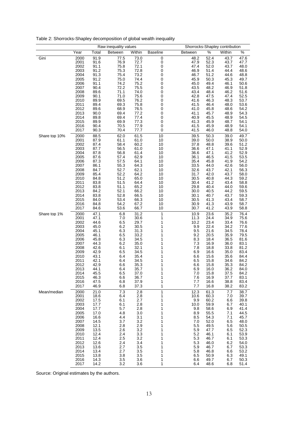| Table 2: Shorrocks-Shapley decomposition of global wealth inequality |  |  |
|----------------------------------------------------------------------|--|--|
|                                                                      |  |  |

|               | Raw inequality values |              |              | Shorrocks-Shapley contribution |                     |              |              |              |              |
|---------------|-----------------------|--------------|--------------|--------------------------------|---------------------|--------------|--------------|--------------|--------------|
|               | Year                  | Total        | Between      | Within                         | <b>Baseline</b>     | Between      | $\%$         | Within       | $\%$         |
| Gini          | 2000                  | 91.9         | 77.5         | 73.0                           | 0                   | 48.2         | 52.4         | 43.7         | 47.6         |
|               | 2001                  | 91.6         | 76.9         | 72.7                           | 0                   | 47.9         | 52.3         | 43.7         | 47.7         |
|               | 2002<br>2003          | 91.1<br>91.2 | 75.8<br>75.3 | 72.1<br>72.8                   | 0<br>0              | 47.4<br>46.9 | 52.0<br>51.4 | 43.7<br>44.4 | 48.0<br>48.6 |
|               | 2004                  | 91.3         | 75.4         | 73.2                           | 0                   | 46.7         | 51.2         | 44.6         | 48.8         |
|               | 2005                  | 91.2         | 75.0         | 74.4                           | 0                   | 45.9         | 50.3         | 45.3         | 49.7         |
|               | 2006                  | 91.1         | 74.2         | 75.2                           | 0                   | 45.0         | 49.4         | 46.1         | 50.6         |
|               | 2007<br>2008          | 90.4<br>89.6 | 72.2<br>71.1 | 75.5<br>74.0                   | 0<br>0              | 43.5<br>43.4 | 48.2<br>48.4 | 46.9<br>46.2 | 51.8<br>51.6 |
|               | 2009                  | 90.1         | 71.0         | 75.6                           | 0                   | 42.8         | 47.5         | 47.4         | 52.5         |
|               | 2010                  | 89.9         | 69.5         | 76.2                           | 0                   | 41.6         | 46.3         | 48.3         | 53.7         |
|               | 2011                  | 89.4         | 69.3         | 75.8                           | 0                   | 41.5         | 46.4         | 48.0         | 53.6         |
|               | 2012                  | 89.6         | 68.9         | 76.5                           | 0                   | 41.0         | 45.8         | 48.6         | 54.2         |
|               | 2013<br>2014          | 90.0<br>89.8 | 69.4<br>69.4 | 77.2<br>77.4                   | 0<br>0              | 41.1<br>40.9 | 45.7<br>45.5 | 48.9<br>48.9 | 54.3<br>54.5 |
|               | 2015                  | 89.9         | 69.9         | 77.3                           | 0                   | 41.3         | 45.9         | 48.7         | 54.1         |
|               | 2016                  | 90.4         | 70.5         | 77.9                           | 0                   | 41.5         | 45.9         | 48.9         | 54.1         |
|               | 2017                  | 90.3         | 70.4         | 77.7                           | 0                   | 41.5         | 46.0         | 48.8         | 54.0         |
| Share top 10% | 2000                  | 88.5         | 62.0         | 61.5                           | 10                  | 39.5         | 50.3         | 39.0         | 49.7         |
|               | 2001<br>2002          | 87.9<br>87.4 | 61.1<br>58.4 | 61.0<br>60.2                   | 10<br>10            | 39.0<br>37.8 | 50.0<br>48.8 | 38.9<br>39.6 | 50.0<br>51.2 |
|               | 2003                  | 87.7         | 56.5         | 61.0                           | 10                  | 36.6         | 47.1         | 41.1         | 52.9         |
|               | 2004                  | 87.8         | 56.8         | 61.4                           | 10                  | 36.6         | 47.1         | 41.2         | 52.9         |
|               | 2005                  | 87.6         | 57.4         | 62.9                           | 10                  | 36.1         | 46.5         | 41.5         | 53.5         |
|               | 2006<br>2007          | 87.3<br>86.1 | 57.5<br>55.3 | 64.1<br>64.3                   | 10<br>10            | 35.4<br>33.5 | 45.8<br>44.0 | 41.9<br>42.6 | 54.2<br>56.0 |
|               | 2008                  | 84.7         | 52.7         | 62.1                           | 10                  | 32.6         | 43.7         | 42.1         | 56.3         |
|               | 2009                  | 85.4         | 52.2         | 64.2                           | 10                  | 31.7         | 42.0         | 43.7         | 58.0         |
|               | 2010                  | 84.8         | 51.2         | 65.0                           | 10                  | 30.5         | 40.8         | 44.3         | 59.2         |
|               | 2011<br>2012          | 83.8<br>83.8 | 51.5<br>51.1 | 64.4<br>65.2                   | 10<br>10            | 30.4<br>29.8 | 41.2<br>40.4 | 43.4<br>44.0 | 58.8<br>59.6 |
|               | 2013                  | 84.2         | 52.1         | 66.2                           | 10                  | 30.0         | 40.5         | 44.2         | 59.5         |
|               | 2014                  | 83.8         | 52.8         | 66.5                           | 10                  | 30.1         | 40.7         | 43.7         | 59.3         |
|               | 2015                  | 84.0         | 53.4         | 66.3                           | 10                  | 30.5         | 41.3         | 43.4         | 58.7         |
|               | 2016                  | 84.8         | 54.2         | 67.2                           | 10                  | 30.9         | 41.3         | 43.9         | 58.7         |
|               | 2017                  | 84.6         | 53.6         | 66.7                           | 10                  | 30.7         | 41.2         | 43.9         | 58.8         |
| Share top 1%  | 2000<br>2001          | 47.1<br>47.1 | 6.8<br>7.0   | 31.2<br>30.6                   | $\overline{1}$<br>1 | 10.9<br>11.3 | 23.6<br>24.4 | 35.2<br>34.9 | 76.4<br>75.6 |
|               | 2002                  | 44.6         | 6.5          | 29.7                           | 1                   | 10.2         | 23.4         | 33.4         | 76.6         |
|               | 2003                  | 45.0         | 6.2          | 30.5                           | 1                   | 9.9          | 22.4         | 34.2         | 77.6         |
|               | 2004                  | 45.1         | 6.3          | 31.3                           | 1                   | 9.5          | 21.6         | 34.5         | 78.4         |
|               | 2005<br>2006          | 46.1<br>45.8 | 6.5<br>6.3   | 33.2<br>34.5                   | 1<br>1              | 9.2<br>8.3   | 20.5<br>18.4 | 35.9<br>36.5 | 79.5<br>81.6 |
|               | 2007                  | 44.3         | 6.2          | 35.0                           | 1                   | 7.3          | 16.9         | 36.0         | 83.1         |
|               | 2008                  | 42.6         | 6.1          | 32.1                           | 1                   | 7.8          | 18.8         | 33.8         | 81.2         |
|               | 2009                  | 42.9         | 6.5          | 34.5                           | 1<br>1              | 6.9          | 16.6         | 35.0         | 83.4         |
|               | 2010<br>2011          | 43.1<br>42.1 | 6.4<br>6.4   | 35.4<br>34.5                   | 1                   | 6.6<br>6.5   | 15.6<br>15.8 | 35.6<br>34.6 | 84.4<br>84.2 |
|               | 2012                  | 42.9         | 6.6          | 35.3                           | 1                   | 6.6          | 15.8         | 35.3         | 84.2         |
|               | 2013                  | 44.1         | 6.4          | 35.7                           |                     | 6.9          | 16.0         | 36.2         | 84.0         |
|               | 2014                  | 45.5         | 6.5          | 37.0                           | 1                   | 7.0          | 15.8         | 37.5         | 84.2         |
|               | 2015<br>2016          | 46.3<br>47.5 | 6.6<br>6.8   | 36.7<br>37.9                   | 1<br>1              | 7.6<br>7.7   | 16.9<br>16.6 | 37.7<br>38.8 | 83.1<br>83.4 |
|               | 2017                  | 46.9         | 6.8          | 37.3                           | 1                   | 7.7          | 16.8         | 38.2         | 83.2         |
| Mean/median   | 2000                  | 21.0         | 7.3          | 2.8                            | $\mathbf 1$         | 12.3         | 61.3         | 7.7          | 38.7         |
|               | 2001                  | 18.6         | 6.4          | 2.8                            | 1                   | 10.6         | 60.3         | 7.0          | 39.7         |
|               | 2002<br>2003          | 17.5<br>17.7 | 6.1<br>6.1   | 2.7<br>2.8                     | 1<br>1              | 9.9<br>10.0  | 60.2<br>59.9 | 6.6<br>6.7   | 39.8<br>40.1 |
|               | 2004                  | 17.7         | 5.7          | 2.8                            | 1                   | 9.8          | 58.6         | 6.9          | 41.4         |
|               | 2005                  | 17.0         | 4.8          | 3.0                            | 1                   | 8.9          | 55.5         | 7.1          | 44.5         |
|               | 2006                  | 16.6         | 4.4          | 3.1                            | 1                   | 8.5          | 54.3         | 7.1          | 45.7         |
|               | 2007<br>2008          | 14.5<br>12.1 | 3.7<br>2.8   | 3.2<br>2.9                     | 1<br>1              | 7.0<br>5.5   | 52.0<br>49.5 | 6.5          | 48.0<br>50.5 |
|               | 2009                  | 13.5         | 2.6          | 3.2                            | 1                   | 5.9          | 47.7         | 5.6<br>6.5   | 52.3         |
|               | 2010                  | 12.4         | 2.4          | 3.3                            | 1                   | 5.2          | 46.1         | 6.1          | 53.9         |
|               | 2011                  | 12.4         | 2.5          | 3.2                            | 1                   | 5.3          | 46.7         | 6.1          | 53.3         |
|               | 2012                  | 12.6         | 2.4<br>2.7   | 3.4<br>3.5                     | 1<br>1              | 5.3<br>5.9   | 46.0<br>46.7 | 6.2          | 54.0<br>53.3 |
|               | 2013<br>2014          | 13.6<br>13.4 | 2.7          | 3.5                            | 1                   | 5.8          | 46.8         | 6.7<br>6.6   | 53.2         |
|               | 2015                  | 13.8         | 3.8          | 3.5                            | 1                   | 6.5          | 50.9         | 6.3          | 49.1         |
|               | 2016                  | 14.3         | 3.5          | 3.6                            | 1                   | 6.6          | 49.7         | 6.7          | 50.3         |
|               | 2017                  | 14.2         | 3.2          | 3.6                            | 1                   | 6.4          | 48.6         | 6.8          | 51.4         |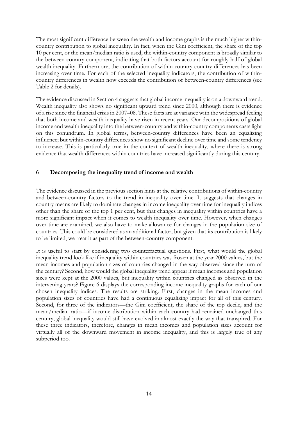The most significant difference between the wealth and income graphs is the much higher withincountry contribution to global inequality. In fact, when the Gini coefficient, the share of the top 10 per cent, or the mean/median ratio is used, the within-country component is broadly similar to the between-country component, indicating that both factors account for roughly half of global wealth inequality. Furthermore, the contribution of within-country country differences has been increasing over time. For each of the selected inequality indicators, the contribution of withincountry differences in wealth now exceeds the contribution of between-country differences (see Table 2 for details).

The evidence discussed in Section 4 suggests that global income inequality is on a downward trend. Wealth inequality also shows no significant upward trend since 2000, although there is evidence of a rise since the financial crisis in 2007–08. These facts are at variance with the widespread feeling that both income and wealth inequality have risen in recent years. Our decompositions of global income and wealth inequality into the between-country and within-country components casts light on this conundrum. In global terms, between-country differences have been an equalizing influence; but within-country differences show no significant decline over time and some tendency to increase. This is particularly true in the context of wealth inequality, where there is strong evidence that wealth differences within countries have increased significantly during this century.

#### **6 Decomposing the inequality trend of income and wealth**

The evidence discussed in the previous section hints at the relative contributions of within-country and between-country factors to the trend in inequality over time. It suggests that changes in country means are likely to dominate changes in income inequality over time for inequality indices other than the share of the top 1 per cent, but that changes in inequality within countries have a more significant impact when it comes to wealth inequality over time. However, when changes over time are examined, we also have to make allowance for changes in the population size of countries. This could be considered as an additional factor, but given that its contribution is likely to be limited, we treat it as part of the between-country component.

It is useful to start by considering two counterfactual questions. First, what would the global inequality trend look like if inequality within countries was frozen at the year 2000 values, but the mean incomes and population sizes of countries changed in the way observed since the turn of the century? Second, how would the global inequality trend appear if mean incomes and population sizes were kept at the 2000 values, but inequality within countries changed as observed in the intervening years? Figure 6 displays the corresponding income inequality graphs for each of our chosen inequality indices. The results are striking. First, changes in the mean incomes and population sizes of countries have had a continuous equalizing impact for all of this century. Second, for three of the indicators—the Gini coefficient, the share of the top decile, and the mean/median ratio—if income distribution within each country had remained unchanged this century, global inequality would still have evolved in almost exactly the way that transpired. For these three indicators, therefore, changes in mean incomes and population sizes account for virtually all of the downward movement in income inequality, and this is largely true of any subperiod too.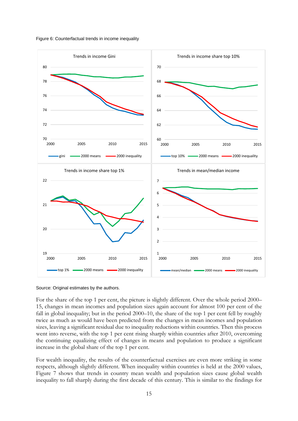



Source: Original estimates by the authors.

For the share of the top 1 per cent, the picture is slightly different. Over the whole period 2000– 15, changes in mean incomes and population sizes again account for almost 100 per cent of the fall in global inequality; but in the period 2000–10, the share of the top 1 per cent fell by roughly twice as much as would have been predicted from the changes in mean incomes and population sizes, leaving a significant residual due to inequality reductions within countries. Then this process went into reverse, with the top 1 per cent rising sharply within countries after 2010, overcoming the continuing equalizing effect of changes in means and population to produce a significant increase in the global share of the top 1 per cent.

For wealth inequality, the results of the counterfactual exercises are even more striking in some respects, although slightly different. When inequality within countries is held at the 2000 values, Figure 7 shows that trends in country mean wealth and population sizes cause global wealth inequality to fall sharply during the first decade of this century. This is similar to the findings for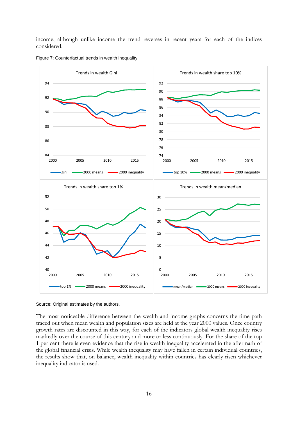income, although unlike income the trend reverses in recent years for each of the indices considered.





The most noticeable difference between the wealth and income graphs concerns the time path traced out when mean wealth and population sizes are held at the year 2000 values. Once country growth rates are discounted in this way, for each of the indicators global wealth inequality rises markedly over the course of this century and more or less continuously. For the share of the top per cent there is even evidence that the rise in wealth inequality accelerated in the aftermath of the global financial crisis. While wealth inequality may have fallen in certain individual countries, the results show that, on balance, wealth inequality within countries has clearly risen whichever inequality indicator is used.

Source: Original estimates by the authors.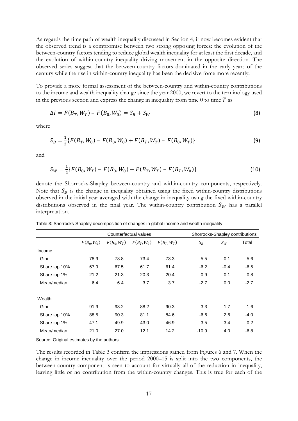As regards the time path of wealth inequality discussed in Section 4, it now becomes evident that the observed trend is a compromise between two strong opposing forces: the evolution of the between-country factors tending to reduce global wealth inequality for at least the first decade, and the evolution of within-country inequality driving movement in the opposite direction. The observed series suggest that the between-country factors dominated in the early years of the century while the rise in within-country inequality has been the decisive force more recently.

To provide a more formal assessment of the between-country and within-country contributions to the income and wealth inequality change since the year 2000, we revert to the terminology used in the previous section and express the change in inequality from time  $0$  to time  $T$  as

$$
\Delta I = F(B_T, W_T) - F(B_0, W_0) = S_B + S_W \tag{8}
$$

where

$$
S_B = \frac{1}{2} \{ F(B_T, W_0) - F(B_0, W_0) + F(B_T, W_T) - F(B_0, W_T) \}
$$
\n(9)

and

$$
S_W = \frac{1}{2} \{ F(B_0, W_T) - F(B_0, W_0) + F(B_T, W_T) - F(B_T, W_0) \}
$$
\n(10)

denote the Shorrocks-Shapley between-country and within-country components, respectively. Note that  $S_B$  is the change in inequality obtained using the fixed within-country distributions observed in the initial year averaged with the change in inequality using the fixed within-country distributions observed in the final year. The within-country contribution  $S_W$  has a parallel interpretation.

|               |               |               | Counterfactual values | Shorrocks-Shapley contributions |         |        |        |
|---------------|---------------|---------------|-----------------------|---------------------------------|---------|--------|--------|
|               | $F(B_0, W_0)$ | $F(B_0, W_T)$ | $F(B_T, W_0)$         | $F(B_T, W_T)$                   | $S_B$   | $S_W$  | Total  |
| Income        |               |               |                       |                                 |         |        |        |
| Gini          | 78.9          | 78.8          | 73.4                  | 73.3                            | $-5.5$  | $-0.1$ | $-5.6$ |
| Share top 10% | 67.9          | 67.5          | 61.7                  | 61.4                            | $-6.2$  | $-0.4$ | $-6.5$ |
| Share top 1%  | 21.2          | 21.3          | 20.3                  | 20.4                            | $-0.9$  | 0.1    | $-0.8$ |
| Mean/median   | 6.4           | 6.4           | 3.7                   | 3.7                             | $-2.7$  | 0.0    | $-2.7$ |
| Wealth        |               |               |                       |                                 |         |        |        |
| Gini          | 91.9          | 93.2          | 88.2                  | 90.3                            | $-3.3$  | 1.7    | $-1.6$ |
| Share top 10% | 88.5          | 90.3          | 81.1                  | 84.6                            | $-6.6$  | 2.6    | $-4.0$ |
| Share top 1%  | 47.1          | 49.9          | 43.0                  | 46.9                            | $-3.5$  | 3.4    | $-0.2$ |
| Mean/median   | 21.0          | 27.0          | 12.1                  | 14.2                            | $-10.9$ | 4.0    | $-6.8$ |

Table 3: Shorrocks-Shapley decomposition of changes in global income and wealth inequality

Source: Original estimates by the authors.

The results recorded in Table 3 confirm the impressions gained from Figures 6 and 7. When the change in income inequality over the period 2000–15 is split into the two components, the between-country component is seen to account for virtually all of the reduction in inequality, leaving little or no contribution from the within-country changes. This is true for each of the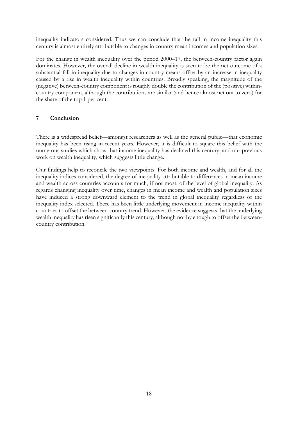inequality indicators considered. Thus we can conclude that the fall in income inequality this century is almost entirely attributable to changes in country mean incomes and population sizes.

For the change in wealth inequality over the period 2000–17, the between-country factor again dominates. However, the overall decline in wealth inequality is seen to be the net outcome of a substantial fall in inequality due to changes in country means offset by an increase in inequality caused by a rise in wealth inequality within countries. Broadly speaking, the magnitude of the (negative) between-country component is roughly double the contribution of the (positive) withincountry component, although the contributions are similar (and hence almost net out to zero) for the share of the top 1 per cent.

#### **7 Conclusion**

There is a widespread belief—amongst researchers as well as the general public—that economic inequality has been rising in recent years. However, it is difficult to square this belief with the numerous studies which show that income inequality has declined this century, and our previous work on wealth inequality, which suggests little change.

Our findings help to reconcile the two viewpoints. For both income and wealth, and for all the inequality indices considered, the degree of inequality attributable to differences in mean income and wealth across countries accounts for much, if not most, of the level of global inequality. As regards changing inequality over time, changes in mean income and wealth and population sizes have induced a strong downward element to the trend in global inequality regardless of the inequality index selected. There has been little underlying movement in income inequality within countries to offset the between-country trend. However, the evidence suggests that the underlying wealth inequality has risen significantly this century, although not by enough to offset the betweencountry contribution.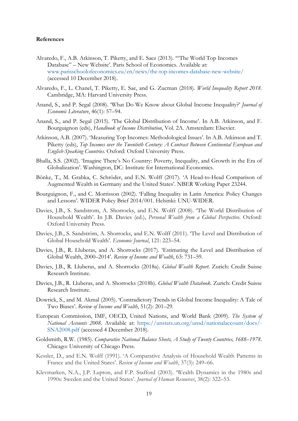#### **References**

- Alvaredo, F., A.B. Atkinson, T. Piketty, and E. Saez (2013). '"The World Top Incomes Database" – New Website'. Paris School of Economics. Available at: [www.parisschoolofeconomics.eu/en/news/the-top-incomes-database-new-website/](http://www.parisschoolofeconomics.eu/en/news/the-top-incomes-database-new-website/) (accessed 10 December 2018).
- Alvaredo, F., L. Chanel, T. Piketty, E. Sae, and G. Zucman (2018). *World Inequality Report 2018*. Cambridge, MA: Harvard University Press.
- Anand, S., and P. Segal (2008). 'What Do We Know about Global Income Inequality?' *Journal of Economic Literature*, 46(1): 57–94.
- Anand, S., and P. Segal (2015). 'The Global Distribution of Income'. In A.B. Atkinson, and F. Bourguignon (eds), *Handbook of Income Distribution*, Vol. 2A. Amsterdam: Elsevier.
- Atkinson, A.B. (2007). 'Measuring Top Incomes: Methodological Issues'. In A.B. Atkinson and T. Piketty (eds), *Top Incomes over the Twentieth Century: A Contrast Between Continental European and English-Speaking Countries*. Oxford: Oxford University Press.
- Bhalla, S.S. (2002). 'Imagine There's No Country: Poverty, Inequality, and Growth in the Era of Globalization'. Washington, DC: Institute for International Economics.
- [Bönke,](https://www.nber.org/people/timm_bonke) T., M. [Grabka,](https://www.nber.org/people/mgrabka) C. [Schröder,](https://www.nber.org/people/carsten_schroder) and E.N. [Wolff](https://www.nber.org/people/edward_wolff) (2017). 'A Head-to-Head Comparison of Augmented Wealth in Germany and the United States'. NBER Working Paper 23244.
- Bourguignon, F., and C. Morrisson (2002). 'Falling Inequality in Latin America: Policy Changes and Lessons'. WIDER Policy Brief 2014/001. Helsinki: UNU-WIDER.
- Davies, J.B., S. Sandstrom, A. Shorrocks, and E.N. Wolff (2008). 'The World Distribution of Household Wealth'. In J.B. Davies (ed.), *Personal Wealth from a Global Perspective*. Oxford: Oxford University Press.
- Davies, J.B., S. Sandström, A. Shorrocks, and E.N. Wolff (2011). 'The Level and Distribution of Global Household Wealth'. *Economic Journal*, 121: 223–54.
- Davies, J.B., R. Lluberas, and A. Shorrocks (2017). 'Estimating the Level and Distribution of Global Wealth, 2000–2014'. *Review of Income and Wealth*, 63: 731–59.
- Davies, J.B., R. Lluberas, and A. Shorrocks (2018a). *Global Wealth Report*. Zurich: Credit Suisse Research Institute.
- Davies, J.B., R. Lluberas, and A. Shorrocks (2018b). *Global Wealth Databook*. Zurich: Credit Suisse Research Institute.
- Dowrick, S., and M. Akmal (2005). 'Contradictory Trends in Global Income Inequality: A Tale of Two Biases'. *Review of Income and Wealth*, 51(2): 201–29.
- European Commission, IMF, OECD, United Nations, and World Bank (2009). *The System of National Accounts 2008*. Available at: [https://unstats.un.org/unsd/nationalaccount/docs/-](https://unstats.un.org/unsd/nationalaccount/docs/-SNA2008.pdf) [SNA2008.pdf](https://unstats.un.org/unsd/nationalaccount/docs/-SNA2008.pdf) (accessed 4 December 2018).
- Goldsmith, R.W. (1985). *Comparative National Balance Sheets, A Study of Twenty Countries, 1688–1978*. Chicago: University of Chicago Press.
- Kessler, D., and E.N. Wolff (1991). 'A Comparative Analysis of Household Wealth Patterns in France and the United States'. *Review of Income and Wealth*, 37(3): 249–66.
- Klevmarken, N.A., J.P. Lupton, and F.P. Stafford (2003). 'Wealth Dynamics in the 1980s and 1990s: Sweden and the United States'. *Journal of Human Resources*, 38(2): 322–53.